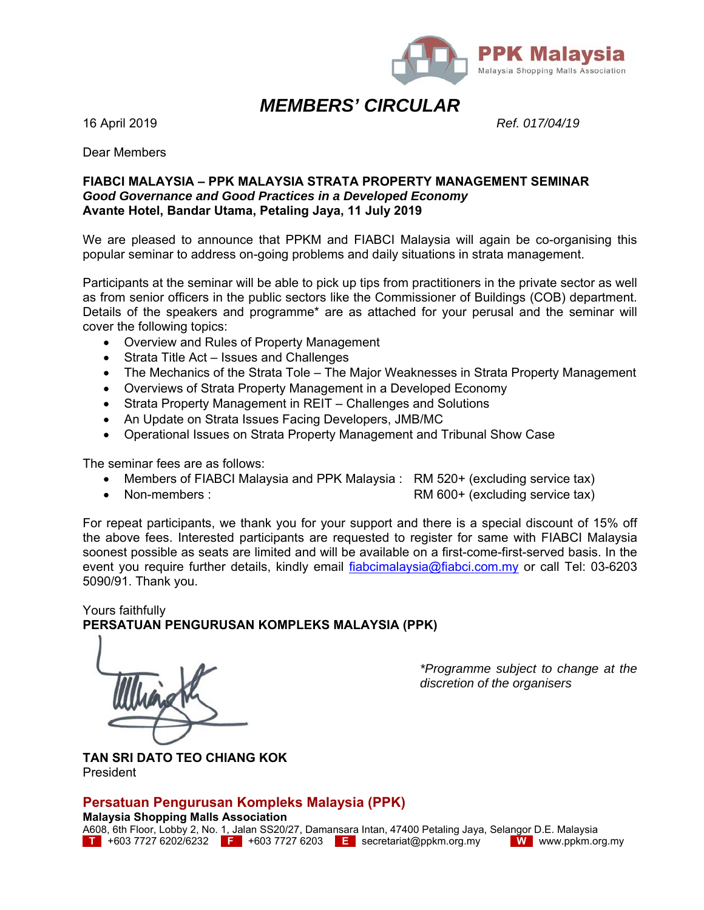

#### *MEMBERS' CIRCULAR*

16 April 2019 *Ref. 017/04/19*

Dear Members

#### **FIABCI MALAYSIA – PPK MALAYSIA STRATA PROPERTY MANAGEMENT SEMINAR**  *Good Governance and Good Practices in a Developed Economy*  **Avante Hotel, Bandar Utama, Petaling Jaya, 11 July 2019**

We are pleased to announce that PPKM and FIABCI Malaysia will again be co-organising this popular seminar to address on-going problems and daily situations in strata management.

Participants at the seminar will be able to pick up tips from practitioners in the private sector as well as from senior officers in the public sectors like the Commissioner of Buildings (COB) department. Details of the speakers and programme\* are as attached for your perusal and the seminar will cover the following topics:

- Overview and Rules of Property Management
- Strata Title Act Issues and Challenges
- The Mechanics of the Strata Tole The Major Weaknesses in Strata Property Management
- Overviews of Strata Property Management in a Developed Economy
- Strata Property Management in REIT Challenges and Solutions
- An Update on Strata Issues Facing Developers, JMB/MC
- Operational Issues on Strata Property Management and Tribunal Show Case

The seminar fees are as follows:

- Members of FIABCI Malaysia and PPK Malaysia : RM 520+ (excluding service tax)
- Non-members : RM 600+ (excluding service tax)

For repeat participants, we thank you for your support and there is a special discount of 15% off the above fees. Interested participants are requested to register for same with FIABCI Malaysia soonest possible as seats are limited and will be available on a first-come-first-served basis. In the event you require further details, kindly email fiabcimalaysia@fiabci.com.my or call Tel: 03-6203 5090/91. Thank you.

Yours faithfully **PERSATUAN PENGURUSAN KOMPLEKS MALAYSIA (PPK)** 

*\*Programme subject to change at the discretion of the organisers*

**TAN SRI DATO TEO CHIANG KOK**  President

#### **Persatuan Pengurusan Kompleks Malaysia (PPK)**

**Malaysia Shopping Malls Association** 

A608, 6th Floor, Lobby 2, No. 1, Jalan SS20/27, Damansara Intan, 47400 Petaling Jaya, Selangor D.E. Malaysia **T** +603 7727 6202/6232 **F** +603 7727 6203 **E** secretariat@ppkm.org.my **W** www.ppkm.org.my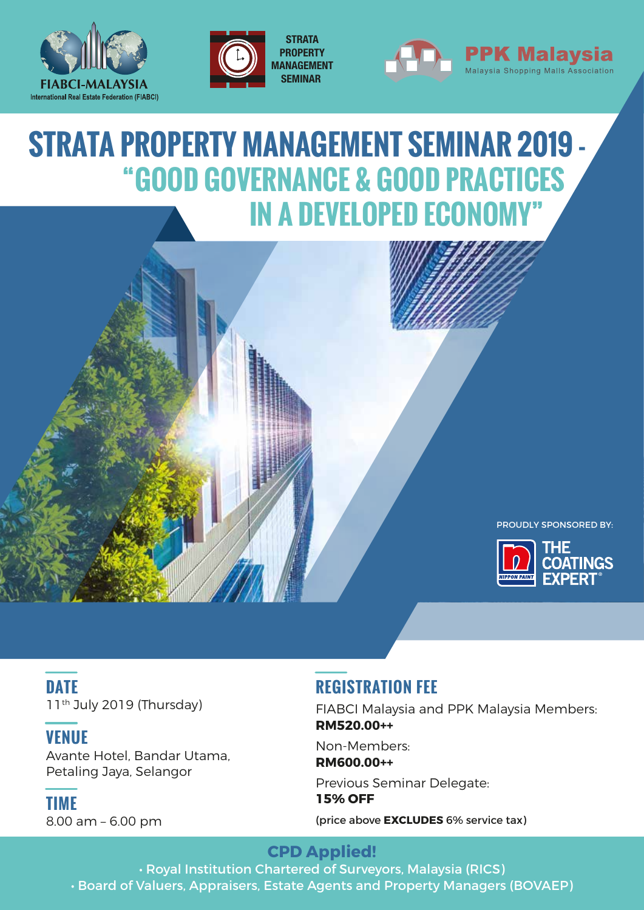





# **STRATA PROPERTY MANAGEMENT SEMINAR 2019 - "GOOD GOVERNANCE & GOOD PRACTICES IN A DEVELOPED ECONOMY"**



PROUDLY SPONSORED BY:



**DATE** 11<sup>th</sup> July 2019 (Thursday)

### **VENUE**

Avante Hotel, Bandar Utama, Petaling Jaya, Selangor

**TIME** 8.00 am – 6.00 pm

## **REGISTRATION FEE**

FIABCI Malaysia and PPK Malaysia Members: **RM520.00++**

Non-Members: **RM600.00++**

Previous Seminar Delegate: **15% OFF** (price above **EXCLUDES** 6% service tax)

## **CPD Applied!**

• Royal Institution Chartered of Surveyors, Malaysia (RICS) • Board of Valuers, Appraisers, Estate Agents and Property Managers (BOVAEP)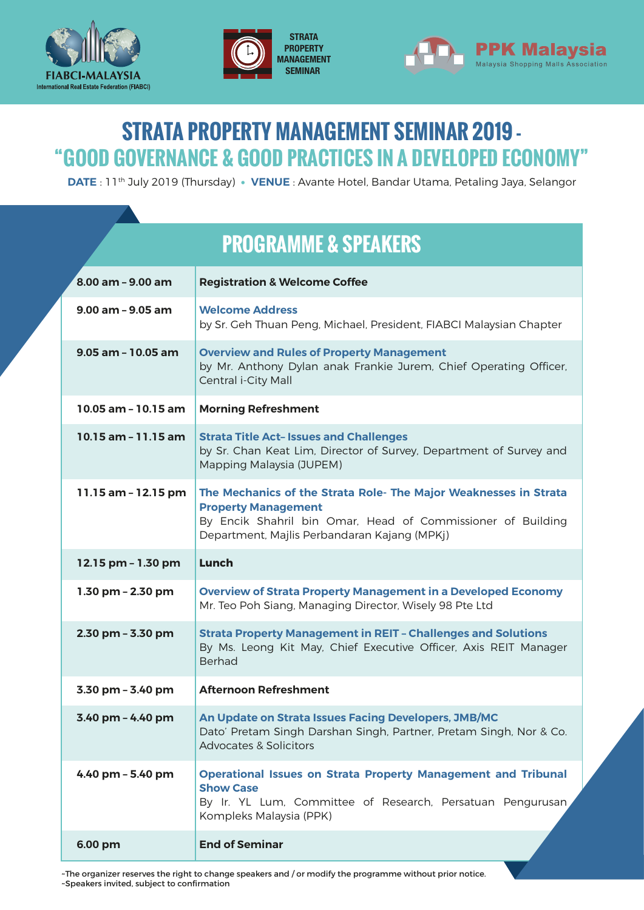





## **STRATA PROPERTY MANAGEMENT SEMINAR 2019 - "GOOD GOVERNANCE & GOOD PRACTICES IN A DEVELOPED ECONOMY"**

**DATE** : 11th July 2019 (Thursday) • **VENUE** : Avante Hotel, Bandar Utama, Petaling Jaya, Selangor

# **PROGRAMME & SPEAKERS**

| 8.00 am - 9.00 am       | <b>Registration &amp; Welcome Coffee</b>                                                                                                                                                                      |
|-------------------------|---------------------------------------------------------------------------------------------------------------------------------------------------------------------------------------------------------------|
| $9.00$ am $- 9.05$ am   | <b>Welcome Address</b><br>by Sr. Geh Thuan Peng, Michael, President, FIABCI Malaysian Chapter                                                                                                                 |
| $9.05$ am - 10.05 am    | <b>Overview and Rules of Property Management</b><br>by Mr. Anthony Dylan anak Frankie Jurem, Chief Operating Officer,<br>Central i-City Mall                                                                  |
| $10.05$ am - $10.15$ am | <b>Morning Refreshment</b>                                                                                                                                                                                    |
| $10.15$ am $-11.15$ am  | <b>Strata Title Act- Issues and Challenges</b><br>by Sr. Chan Keat Lim, Director of Survey, Department of Survey and<br>Mapping Malaysia (JUPEM)                                                              |
| 11.15 am - 12.15 pm     | The Mechanics of the Strata Role- The Major Weaknesses in Strata<br><b>Property Management</b><br>By Encik Shahril bin Omar, Head of Commissioner of Building<br>Department, Majlis Perbandaran Kajang (MPKj) |
| 12.15 pm - 1.30 pm      | Lunch                                                                                                                                                                                                         |
| 1.30 pm - 2.30 pm       | <b>Overview of Strata Property Management in a Developed Economy</b><br>Mr. Teo Poh Siang, Managing Director, Wisely 98 Pte Ltd                                                                               |
| 2.30 pm - 3.30 pm       | <b>Strata Property Management in REIT - Challenges and Solutions</b><br>By Ms. Leong Kit May, Chief Executive Officer, Axis REIT Manager<br><b>Berhad</b>                                                     |
| 3.30 pm - 3.40 pm       | <b>Afternoon Refreshment</b>                                                                                                                                                                                  |
| 3.40 pm - 4.40 pm       | An Update on Strata Issues Facing Developers, JMB/MC<br>Dato' Pretam Singh Darshan Singh, Partner, Pretam Singh, Nor & Co.<br><b>Advocates &amp; Solicitors</b>                                               |
| 4.40 pm - 5.40 pm       | <b>Operational Issues on Strata Property Management and Tribunal</b><br><b>Show Case</b><br>By Ir. YL Lum, Committee of Research, Persatuan Pengurusan,<br>Kompleks Malaysia (PPK)                            |
| 6.00 pm                 | <b>End of Seminar</b>                                                                                                                                                                                         |

~The organizer reserves the right to change speakers and / or modify the programme without prior notice. ~Speakers invited, subject to confirmation